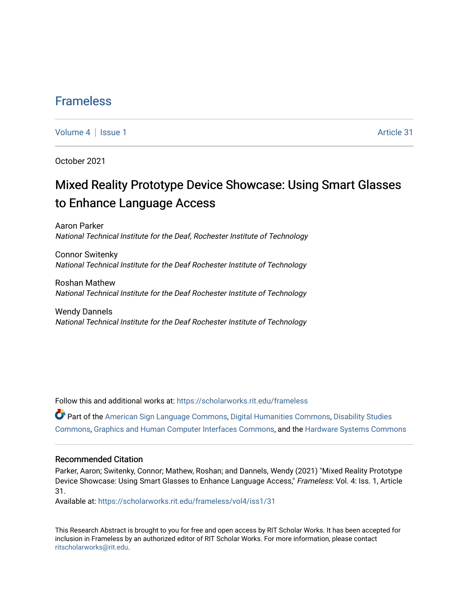### [Frameless](https://scholarworks.rit.edu/frameless)

[Volume 4](https://scholarworks.rit.edu/frameless/vol4) | [Issue 1](https://scholarworks.rit.edu/frameless/vol4/iss1) Article 31

October 2021

## Mixed Reality Prototype Device Showcase: Using Smart Glasses to Enhance Language Access

Aaron Parker National Technical Institute for the Deaf, Rochester Institute of Technology

Connor Switenky National Technical Institute for the Deaf Rochester Institute of Technology

Roshan Mathew National Technical Institute for the Deaf Rochester Institute of Technology

Wendy Dannels National Technical Institute for the Deaf Rochester Institute of Technology

Follow this and additional works at: [https://scholarworks.rit.edu/frameless](https://scholarworks.rit.edu/frameless?utm_source=scholarworks.rit.edu%2Fframeless%2Fvol4%2Fiss1%2F31&utm_medium=PDF&utm_campaign=PDFCoverPages)

Part of the [American Sign Language Commons,](https://network.bepress.com/hgg/discipline/1402?utm_source=scholarworks.rit.edu%2Fframeless%2Fvol4%2Fiss1%2F31&utm_medium=PDF&utm_campaign=PDFCoverPages) [Digital Humanities Commons](https://network.bepress.com/hgg/discipline/1286?utm_source=scholarworks.rit.edu%2Fframeless%2Fvol4%2Fiss1%2F31&utm_medium=PDF&utm_campaign=PDFCoverPages), [Disability Studies](https://network.bepress.com/hgg/discipline/1417?utm_source=scholarworks.rit.edu%2Fframeless%2Fvol4%2Fiss1%2F31&utm_medium=PDF&utm_campaign=PDFCoverPages)  [Commons](https://network.bepress.com/hgg/discipline/1417?utm_source=scholarworks.rit.edu%2Fframeless%2Fvol4%2Fiss1%2F31&utm_medium=PDF&utm_campaign=PDFCoverPages), [Graphics and Human Computer Interfaces Commons](https://network.bepress.com/hgg/discipline/146?utm_source=scholarworks.rit.edu%2Fframeless%2Fvol4%2Fiss1%2F31&utm_medium=PDF&utm_campaign=PDFCoverPages), and the [Hardware Systems Commons](https://network.bepress.com/hgg/discipline/263?utm_source=scholarworks.rit.edu%2Fframeless%2Fvol4%2Fiss1%2F31&utm_medium=PDF&utm_campaign=PDFCoverPages) 

#### Recommended Citation

Parker, Aaron; Switenky, Connor; Mathew, Roshan; and Dannels, Wendy (2021) "Mixed Reality Prototype Device Showcase: Using Smart Glasses to Enhance Language Access," Frameless: Vol. 4: Iss. 1, Article 31.

Available at: [https://scholarworks.rit.edu/frameless/vol4/iss1/31](https://scholarworks.rit.edu/frameless/vol4/iss1/31?utm_source=scholarworks.rit.edu%2Fframeless%2Fvol4%2Fiss1%2F31&utm_medium=PDF&utm_campaign=PDFCoverPages) 

This Research Abstract is brought to you for free and open access by RIT Scholar Works. It has been accepted for inclusion in Frameless by an authorized editor of RIT Scholar Works. For more information, please contact [ritscholarworks@rit.edu](mailto:ritscholarworks@rit.edu).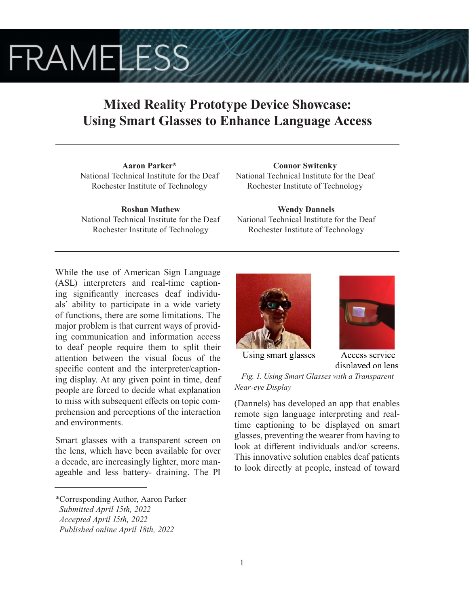# **FRAMELESS**

## **Mixed Reality Prototype Device Showcase: Using Smart Glasses to Enhance Language Access**

**Aaron Parker\*** National Technical Institute for the Deaf Rochester Institute of Technology

**Roshan Mathew** National Technical Institute for the Deaf Rochester Institute of Technology

**Connor Switenky** National Technical Institute for the Deaf Rochester Institute of Technology

**Wendy Dannels** National Technical Institute for the Deaf Rochester Institute of Technology

While the use of American Sign Language (ASL) interpreters and real-time captioning significantly increases deaf individuals' ability to participate in a wide variety of functions, there are some limitations. The major problem is that current ways of providing communication and information access to deaf people require them to split their attention between the visual focus of the specific content and the interpreter/captioning display. At any given point in time, deaf people are forced to decide what explanation to miss with subsequent effects on topic comprehension and perceptions of the interaction and environments.

Smart glasses with a transparent screen on the lens, which have been available for over a decade, are increasingly lighter, more manageable and less battery- draining. The PI





Using smart glasses

Access service displayed on lens

*Fig. 1. Using Smart Glasses with a Transparent Near-eye Display*

(Dannels) has developed an app that enables remote sign language interpreting and realtime captioning to be displayed on smart glasses, preventing the wearer from having to look at different individuals and/or screens. This innovative solution enables deaf patients to look directly at people, instead of toward

*<sup>\*</sup>*Corresponding Author, Aaron Parker

*Submitted April 15th, 2022*

*Accepted April 15th, 2022*

*Published online April 18th, 2022*